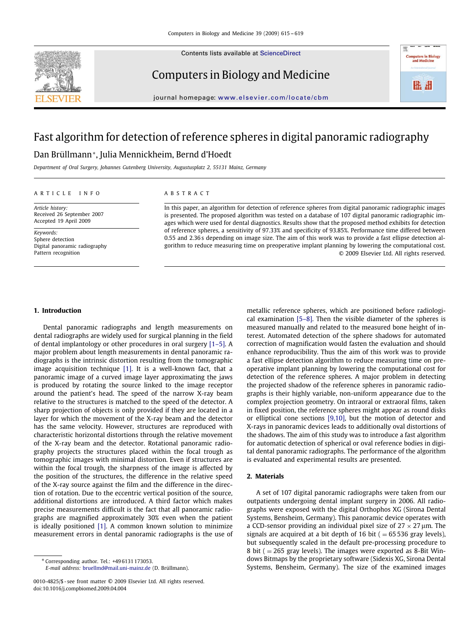Contents lists available at [ScienceDirect](http://www.sciencedirect.com/science/journal/cbm)



Computers in Biology and Medicine



journal homepage: [www.elsevier.com/locate/cbm](http://www.elsevier.com/locate/cbm)

## Fast algorithm for detection of reference spheres in digital panoramic radiography

### Dan Brüllmann\*, Julia Mennickheim, Bernd d'Hoedt

*Department of Oral Surgery, Johannes Gutenberg University, Augustusplatz 2, 55131 Mainz, Germany*

#### ARTICLE INFO ABSTRACT

*Article history:* Received 26 September 2007 Accepted 19 April 2009

*Keywords:* Sphere detection Digital panoramic radiography Pattern recognition

In this paper, an algorithm for detection of reference spheres from digital panoramic radiographic images is presented. The proposed algorithm was tested on a database of 107 digital panoramic radiographic images which were used for dental diagnostics. Results show that the proposed method exhibits for detection of reference spheres, a sensitivity of 97.33% and specificity of 93.85%. Performance time differed between 0.55 and 2.36 s depending on image size. The aim of this work was to provide a fast ellipse detection algorithm to reduce measuring time on preoperative implant planning by lowering the computational cost. © 2009 Elsevier Ltd. All rights reserved.

#### **1. Introduction**

Dental panoramic radiographs and length measurements on dental radiographs are widely used for surgical planning in the field of dental implantology or other procedures in oral surgery [1–5]. A major problem about length measurements in dental panoramic radiographs is the intrinsic distortion resulting from the tomographic image acquisition technique [\[1\].](#page--1-0) It is a well-known fact, that a panoramic image of a curved image layer approximating the jaws is produced by rotating the source linked to the image receptor around the patient's head. The speed of the narrow X-ray beam relative to the structures is matched to the speed of the detector. A sharp projection of objects is only provided if they are located in a layer for which the movement of the X-ray beam and the detector has the same velocity. However, structures are reproduced with characteristic horizontal distortions through the relative movement of the X-ray beam and the detector. Rotational panoramic radiography projects the structures placed within the focal trough as tomographic images with minimal distortion. Even if structures are within the focal trough, the sharpness of the image is affected by the position of the structures, the difference in the relative speed of the X-ray source against the film and the difference in the direction of rotation. Due to the eccentric vertical position of the source, additional distortions are introduced. A third factor which makes precise measurements difficult is the fact that all panoramic radiographs are magnified approximately 30% even when the patient is ideally positioned [\[1\].](#page--1-0) A common known solution to minimize measurement errors in dental panoramic radiographs is the use of

*E-mail address: [bruellmd@mail.uni-mainz.de](mailto:bruellmd@mail.uni-mainz.de) (D. Brüllmann).* 

metallic reference spheres, which are positioned before radiological examination [5–8]. Then the visible diameter of the spheres is measured manually and related to the measured bone height of interest. Automated detection of the sphere shadows for automated correction of magnification would fasten the evaluation and should enhance reproducibility. Thus the aim of this work was to provide a fast ellipse detection algorithm to reduce measuring time on preoperative implant planning by lowering the computational cost for detection of the reference spheres. A major problem in detecting the projected shadow of the reference spheres in panoramic radiographs is their highly variable, non-uniform appearance due to the complex projection geometry. On intraoral or extraoral films, taken in fixed position, the reference spheres might appear as round disks or elliptical cone sections [9,10], but the motion of detector and X-rays in panoramic devices leads to additionally oval distortions of the shadows. The aim of this study was to introduce a fast algorithm for automatic detection of spherical or oval reference bodies in digital dental panoramic radiographs. The performance of the algorithm is evaluated and experimental results are presented.

### **2. Materials**

A set of 107 digital panoramic radiographs were taken from our outpatients undergoing dental implant surgery in 2006. All radiographs were exposed with the digital Orthophos XG (Sirona Dental Systems, Bensheim, Germany). This panoramic device operates with a CCD-sensor providing an individual pixel size of 27  $\times$  27  $\mu$ m. The signals are acquired at a bit depth of 16 bit ( $= 65536$  gray levels), but subsequently scaled in the default pre-processing procedure to 8 bit ( $= 265$  gray levels). The images were exported as 8-Bit Windows Bitmaps by the proprietary software (Sidexis XG, Sirona Dental Systems, Bensheim, Germany). The size of the examined images

<sup>∗</sup> Corresponding author. Tel.: +49 6131 173053.

<sup>0010-4825/\$ -</sup> see front matter © 2009 Elsevier Ltd. All rights reserved. doi:10.1016/j.compbiomed.2009.04.004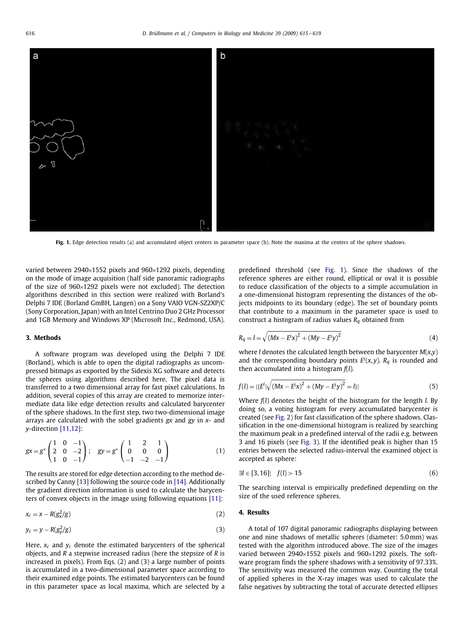

**Fig. 1.** Edge detection results (a) and accumulated object centers in parameter space (b). Note the maxima at the centers of the sphere shadows.

varied between 2940×1552 pixels and 960×1292 pixels, depending on the mode of image acquisition (half side panoramic radiographs of the size of 960×1292 pixels were not excluded). The detection algorithms described in this section were realized with Borland's Delphi 7 IDE (Borland GmBH, Langen) on a Sony VAIO VGN-SZ2XP/C (Sony Corporation, Japan) with an Intel Centrino Duo 2 GHz Processor and 1GB Memory and Windows XP (Microsoft Inc., Redmond, USA).

#### **3. Methods**

A software program was developed using the Delphi 7 IDE (Borland), which is able to open the digital radiographs as uncompressed bitmaps as exported by the Sidexis XG software and detects the spheres using algorithms described here. The pixel data is transferred to a two dimensional array for fast pixel calculations. In addition, several copies of this array are created to memorize intermediate data like edge detection results and calculated barycenter of the sphere shadows. In the first step, two two-dimensional image arrays are calculated with the sobel gradients *gx* and *gy* in *x*- and *y*-direction [11,12]:

$$
gx = g^* \begin{pmatrix} 1 & 0 & -1 \\ 2 & 0 & -2 \\ 1 & 0 & -1 \end{pmatrix}; \quad gy = g^* \begin{pmatrix} 1 & 2 & 1 \\ 0 & 0 & 0 \\ -1 & -2 & -1 \end{pmatrix}
$$
 (1)

The results are stored for edge detection according to the method described by Canny [\[13\]](#page--1-1) following the source code in [\[14\].](#page--1-2) Additionally the gradient direction information is used to calculate the barycenters of convex objects in the image using following equations [\[11\]:](#page--1-3)

$$
x_c = x - R(g_x^2/g) \tag{2}
$$

$$
y_c = y - R(g_y^2/g) \tag{3}
$$

Here,  $x_c$  and  $y_c$  denote the estimated barycenters of the spherical objects, and *R* a stepwise increased radius (here the stepsize of *R* is increased in pixels). From Eqs. (2) and (3) a large number of points is accumulated in a two-dimensional parameter space according to their examined edge points. The estimated barycenters can be found in this parameter space as local maxima, which are selected by a

<span id="page-1-0"></span>predefined threshold (see [Fig. 1\)](#page-1-0). Since the shadows of the reference spheres are either round, elliptical or oval it is possible to reduce classification of the objects to a simple accumulation in a one-dimensional histogram representing the distances of the objects midpoints to its boundary (edge). The set of boundary points that contribute to a maximum in the parameter space is used to construct a histogram of radius values *Rq* obtained from

$$
R_q = l = \sqrt{(Mx - E^i x)^2 + (My - E^i y)^2}
$$
 (4)

where *l* denotes the calculated length between the barycenter *M*(*x*,*y*) and the corresponding boundary points  $E^i(x, y)$ .  $R_q$  is rounded and then accumulated into a histogram  $f(l)$ then accumulated into a histogram *f*(*l*).

$$
f(l) = |{E^{i}|\sqrt{(Mx - E^{i}x)^{2} + (My - E^{i}y)^{2}}} = l|
$$
\n(5)

Where *f*(*l*) denotes the height of the histogram for the length *l*. By doing so, a voting histogram for every accumulated barycenter is created (see [Fig. 2\)](#page--1-4) for fast classification of the sphere shadows. Classification in the one-dimensional histogram is realized by searching the maximum peak in a predefined interval of the radii e.g. between 3 and 16 pixels (see [Fig. 3\)](#page--1-5). If the identified peak is higher than 15 entries between the selected radius-interval the examined object is accepted as sphere:

$$
\exists l \in [3, 16] \mid f(l) > 15 \tag{6}
$$

The searching interval is empirically predefined depending on the size of the used reference spheres.

#### **4. Results**

A total of 107 digital panoramic radiographs displaying between one and nine shadows of metallic spheres (diameter: 5.0 mm) was tested with the algorithm introduced above. The size of the images varied between 2940×1552 pixels and 960×1292 pixels. The software program finds the sphere shadows with a sensitivity of 97.33%. The sensitivity was measured the common way. Counting the total of applied spheres in the X-ray images was used to calculate the false negatives by subtracting the total of accurate detected ellipses